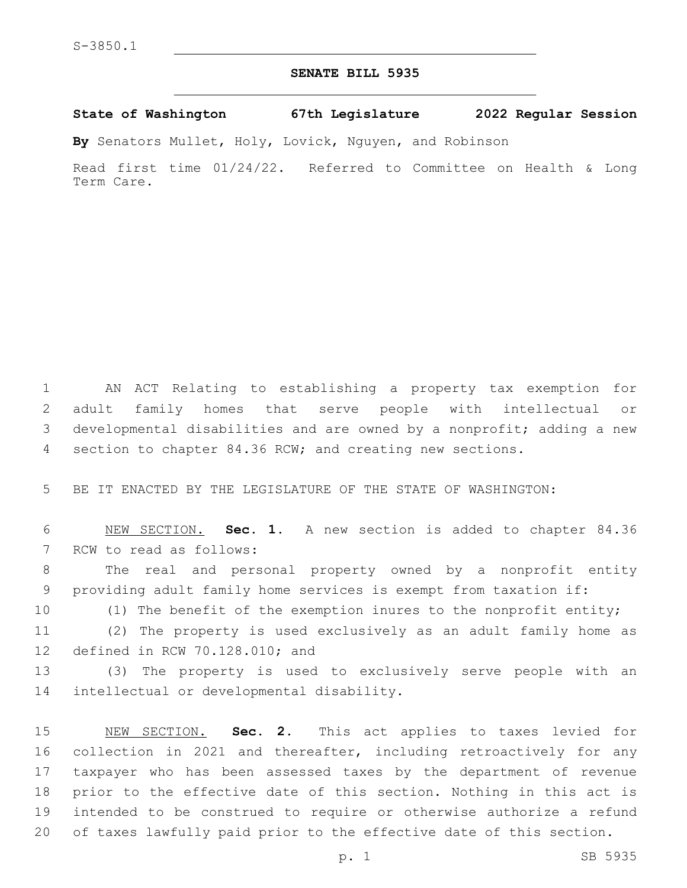## **SENATE BILL 5935**

## **State of Washington 67th Legislature 2022 Regular Session**

**By** Senators Mullet, Holy, Lovick, Nguyen, and Robinson

Read first time 01/24/22. Referred to Committee on Health & Long Term Care.

 AN ACT Relating to establishing a property tax exemption for adult family homes that serve people with intellectual or developmental disabilities and are owned by a nonprofit; adding a new section to chapter 84.36 RCW; and creating new sections.

5 BE IT ENACTED BY THE LEGISLATURE OF THE STATE OF WASHINGTON:

6 NEW SECTION. **Sec. 1.** A new section is added to chapter 84.36 7 RCW to read as follows:

8 The real and personal property owned by a nonprofit entity 9 providing adult family home services is exempt from taxation if:

10 (1) The benefit of the exemption inures to the nonprofit entity;

11 (2) The property is used exclusively as an adult family home as 12 defined in RCW 70.128.010; and

13 (3) The property is used to exclusively serve people with an 14 intellectual or developmental disability.

 NEW SECTION. **Sec. 2.** This act applies to taxes levied for collection in 2021 and thereafter, including retroactively for any taxpayer who has been assessed taxes by the department of revenue prior to the effective date of this section. Nothing in this act is intended to be construed to require or otherwise authorize a refund of taxes lawfully paid prior to the effective date of this section.